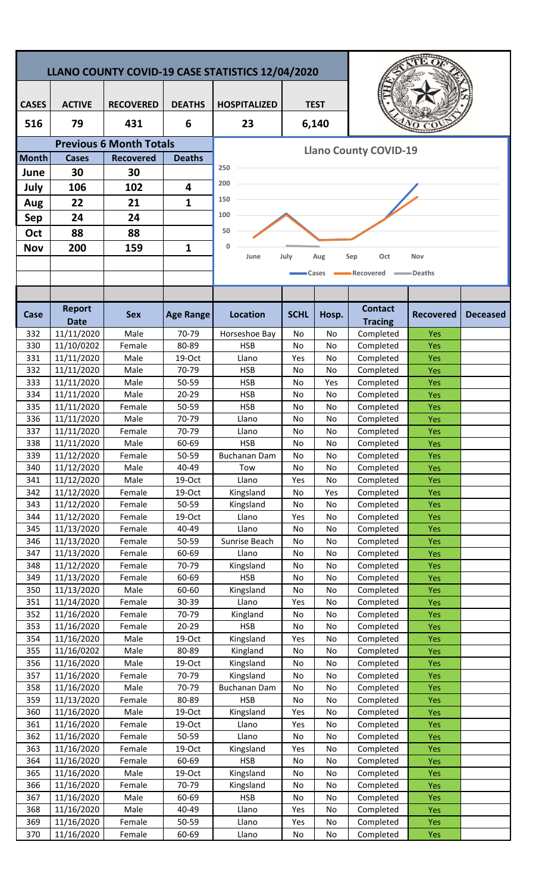| LLANO COUNTY COVID-19 CASE STATISTICS 12/04/2020 |                           |                                |                  |                              |             |             |                             |                          |                 |  |  |  |
|--------------------------------------------------|---------------------------|--------------------------------|------------------|------------------------------|-------------|-------------|-----------------------------|--------------------------|-----------------|--|--|--|
|                                                  |                           |                                |                  |                              |             |             |                             |                          |                 |  |  |  |
| <b>CASES</b>                                     | <b>ACTIVE</b>             | <b>RECOVERED</b>               | <b>DEATHS</b>    | <b>HOSPITALIZED</b>          |             | <b>TEST</b> |                             |                          |                 |  |  |  |
| 516                                              | 79                        | 431                            | 6                | 23                           |             | 6,140       |                             |                          |                 |  |  |  |
|                                                  |                           | <b>Previous 6 Month Totals</b> |                  |                              |             |             |                             |                          |                 |  |  |  |
| <b>Month</b>                                     | <b>Cases</b>              | <b>Recovered</b>               | <b>Deaths</b>    | <b>Llano County COVID-19</b> |             |             |                             |                          |                 |  |  |  |
| June                                             | 30                        | 30                             |                  | 250                          |             |             |                             |                          |                 |  |  |  |
| July                                             | 106                       | 102                            | 4                | 200                          |             |             |                             |                          |                 |  |  |  |
| Aug                                              | 22                        | 21                             | 1                | 150                          |             |             |                             |                          |                 |  |  |  |
| <b>Sep</b>                                       | 24                        | 24                             |                  | 100                          |             |             |                             |                          |                 |  |  |  |
| Oct                                              | 88                        | 88                             |                  | 50                           |             |             |                             |                          |                 |  |  |  |
|                                                  |                           |                                |                  |                              |             |             |                             |                          |                 |  |  |  |
| <b>Nov</b>                                       | 200                       | 159                            | 1                | 0<br>June                    | July        | Aug         | Oct<br>Sep                  | Nov                      |                 |  |  |  |
|                                                  |                           |                                |                  |                              |             | Cases       | Recovered                   | =Deaths                  |                 |  |  |  |
|                                                  |                           |                                |                  |                              |             |             |                             |                          |                 |  |  |  |
|                                                  |                           |                                |                  |                              |             |             |                             |                          |                 |  |  |  |
| Case                                             | <b>Report</b>             | <b>Sex</b>                     | <b>Age Range</b> | <b>Location</b>              | <b>SCHL</b> | Hosp.       | <b>Contact</b>              | <b>Recovered</b>         | <b>Deceased</b> |  |  |  |
| 332                                              | <b>Date</b><br>11/11/2020 | Male                           | 70-79            | Horseshoe Bay                | No          | No          | <b>Tracing</b><br>Completed | Yes                      |                 |  |  |  |
| 330                                              | 11/10/0202                | Female                         | 80-89            | <b>HSB</b>                   | No          | No          | Completed                   | Yes                      |                 |  |  |  |
| 331                                              | 11/11/2020                | Male                           | 19-Oct           | Llano                        | Yes         | No          | Completed                   | Yes                      |                 |  |  |  |
| 332                                              | 11/11/2020                | Male                           | 70-79            | <b>HSB</b>                   | No          | No          | Completed                   | Yes                      |                 |  |  |  |
| 333                                              | 11/11/2020                | Male                           | 50-59            | <b>HSB</b>                   | No          | Yes         | Completed                   | Yes                      |                 |  |  |  |
| 334                                              | 11/11/2020                | Male                           | $20 - 29$        | <b>HSB</b>                   | No          | No          | Completed                   | Yes                      |                 |  |  |  |
| 335                                              | 11/11/2020                | Female                         | 50-59            | <b>HSB</b>                   | No          | No          | Completed                   | Yes                      |                 |  |  |  |
| 336                                              | 11/11/2020                | Male                           | 70-79            | Llano                        | No          | No          | Completed                   | Yes                      |                 |  |  |  |
| 337                                              | 11/11/2020                | Female                         | 70-79            | Llano                        | No          | No          | Completed                   | Yes                      |                 |  |  |  |
| 338                                              | 11/11/2020                | Male                           | 60-69            | <b>HSB</b>                   | No          | No          | Completed                   | Yes                      |                 |  |  |  |
| 339                                              | 11/12/2020                | Female                         | $50 - 59$        | Buchanan Dam                 | No.         | No.         | Completed                   | <b>Yes</b>               |                 |  |  |  |
| 340<br>341                                       | 11/12/2020                | Male<br>Male                   | 40-49<br>19-Oct  | Tow<br>Llano                 | No<br>Yes   | No          | Completed<br>Completed      | <b>Yes</b>               |                 |  |  |  |
| 342                                              | 11/12/2020<br>11/12/2020  | Female                         | 19-Oct           | Kingsland                    | No          | No<br>Yes   | Completed                   | <b>Yes</b><br>Yes        |                 |  |  |  |
| 343                                              | 11/12/2020                | Female                         | $50 - 59$        | Kingsland                    | No          | No          | Completed                   | Yes                      |                 |  |  |  |
| 344                                              | 11/12/2020                | Female                         | 19-Oct           | Llano                        | Yes         | No          | Completed                   | Yes                      |                 |  |  |  |
| 345                                              | 11/13/2020                | Female                         | 40-49            | Llano                        | No          | No          | Completed                   | Yes                      |                 |  |  |  |
| 346                                              | 11/13/2020                | Female                         | 50-59            | Sunrise Beach                | No          | No          | Completed                   | Yes                      |                 |  |  |  |
| 347                                              | 11/13/2020                | Female                         | 60-69            | Llano                        | No          | No          | Completed                   | <b>Yes</b>               |                 |  |  |  |
| 348                                              | 11/12/2020                | Female                         | 70-79            | Kingsland                    | No          | No          | Completed                   | Yes                      |                 |  |  |  |
| 349                                              | 11/13/2020                | Female                         | 60-69            | <b>HSB</b>                   | No          | No          | Completed                   | <b>Yes</b>               |                 |  |  |  |
| 350                                              | 11/13/2020                | Male                           | 60-60            | Kingsland                    | No          | No          | Completed                   | Yes                      |                 |  |  |  |
| 351<br>352                                       | 11/14/2020<br>11/16/2020  | Female<br>Female               | 30-39<br>70-79   | Llano<br>Kingland            | Yes<br>No   | No<br>No    | Completed<br>Completed      | <b>Yes</b><br><b>Yes</b> |                 |  |  |  |
| 353                                              | 11/16/2020                | Female                         | 20-29            | <b>HSB</b>                   | No          | No          | Completed                   | Yes                      |                 |  |  |  |
| 354                                              | 11/16/2020                | Male                           | 19-Oct           | Kingsland                    | Yes         | No          | Completed                   | Yes                      |                 |  |  |  |
| 355                                              | 11/16/0202                | Male                           | 80-89            | Kingland                     | No          | No          | Completed                   | Yes                      |                 |  |  |  |
| 356                                              | 11/16/2020                | Male                           | 19-Oct           | Kingsland                    | No          | No          | Completed                   | Yes                      |                 |  |  |  |
| 357                                              | 11/16/2020                | Female                         | 70-79            | Kingsland                    | No          | No          | Completed                   | Yes                      |                 |  |  |  |
| 358                                              | 11/16/2020                | Male                           | 70-79            | <b>Buchanan Dam</b>          | No          | No          | Completed                   | <b>Yes</b>               |                 |  |  |  |
| 359                                              | 11/13/2020                | Female                         | 80-89            | <b>HSB</b>                   | No          | No          | Completed                   | <b>Yes</b>               |                 |  |  |  |
| 360                                              | 11/16/2020                | Male                           | 19-Oct           | Kingsland                    | Yes         | No          | Completed                   | <b>Yes</b>               |                 |  |  |  |
| 361<br>362                                       | 11/16/2020<br>11/16/2020  | Female<br>Female               | 19-Oct<br>50-59  | Llano<br>Llano               | Yes<br>No   | No<br>No    | Completed<br>Completed      | <b>Yes</b><br>Yes        |                 |  |  |  |
| 363                                              | 11/16/2020                | Female                         | 19-Oct           | Kingsland                    | Yes         | No          | Completed                   | Yes                      |                 |  |  |  |
| 364                                              | 11/16/2020                | Female                         | 60-69            | <b>HSB</b>                   | No          | No          | Completed                   | Yes                      |                 |  |  |  |
| 365                                              | 11/16/2020                | Male                           | 19-Oct           | Kingsland                    | No          | No          | Completed                   | <b>Yes</b>               |                 |  |  |  |
| 366                                              | 11/16/2020                | Female                         | 70-79            | Kingsland                    | No          | No          | Completed                   | Yes                      |                 |  |  |  |
| 367                                              | 11/16/2020                | Male                           | 60-69            | <b>HSB</b>                   | No          | No          | Completed                   | <b>Yes</b>               |                 |  |  |  |
| 368                                              | 11/16/2020                | Male                           | 40-49            | Llano                        | Yes         | No          | Completed                   | <b>Yes</b>               |                 |  |  |  |
| 369                                              | 11/16/2020                | Female                         | 50-59            | Llano                        | Yes         | No          | Completed                   | Yes                      |                 |  |  |  |
| 370                                              | 11/16/2020                | Female                         | 60-69            | Llano                        | No          | No          | Completed                   | Yes                      |                 |  |  |  |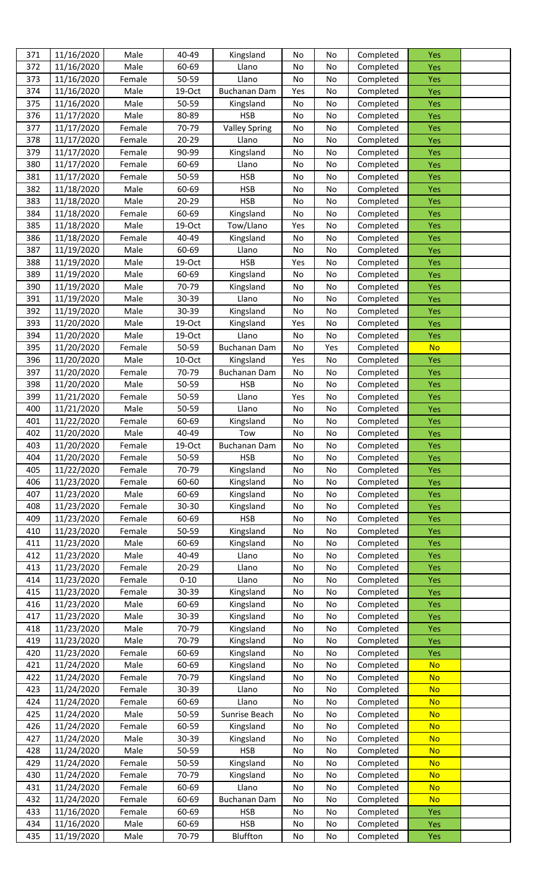| 371 | 11/16/2020 | Male   | 40-49    | Kingsland            | No  | No  | Completed | Yes        |  |
|-----|------------|--------|----------|----------------------|-----|-----|-----------|------------|--|
| 372 | 11/16/2020 | Male   | 60-69    | Llano                | No  | No  | Completed | Yes        |  |
| 373 | 11/16/2020 | Female | 50-59    | Llano                | No  | No  | Completed | Yes        |  |
| 374 | 11/16/2020 | Male   | 19-Oct   | Buchanan Dam         | Yes | No  | Completed | Yes        |  |
| 375 | 11/16/2020 | Male   | 50-59    | Kingsland            | No  | No  | Completed | Yes        |  |
|     | 11/17/2020 | Male   | 80-89    | <b>HSB</b>           |     |     |           |            |  |
| 376 |            |        |          |                      | No  | No  | Completed | Yes        |  |
| 377 | 11/17/2020 | Female | 70-79    | <b>Valley Spring</b> | No  | No  | Completed | Yes        |  |
| 378 | 11/17/2020 | Female | 20-29    | Llano                | No  | No  | Completed | Yes        |  |
| 379 | 11/17/2020 | Female | 90-99    | Kingsland            | No  | No  | Completed | <b>Yes</b> |  |
| 380 | 11/17/2020 | Female | 60-69    | Llano                | No  | No  | Completed | Yes        |  |
| 381 | 11/17/2020 | Female | 50-59    | <b>HSB</b>           | No  | No  | Completed | Yes        |  |
| 382 | 11/18/2020 | Male   | 60-69    | <b>HSB</b>           | No  | No  | Completed | Yes        |  |
| 383 | 11/18/2020 | Male   | 20-29    | <b>HSB</b>           | No  | No  | Completed | Yes        |  |
| 384 | 11/18/2020 | Female | 60-69    | Kingsland            | No  | No  | Completed | <b>Yes</b> |  |
| 385 | 11/18/2020 | Male   | 19-Oct   | Tow/Llano            | Yes | No  | Completed | Yes        |  |
| 386 | 11/18/2020 | Female | 40-49    | Kingsland            | No  | No  | Completed | Yes        |  |
| 387 | 11/19/2020 | Male   | 60-69    | Llano                | No  | No  | Completed | Yes        |  |
| 388 | 11/19/2020 | Male   | 19-Oct   | <b>HSB</b>           | Yes | No  | Completed | Yes        |  |
| 389 | 11/19/2020 | Male   | 60-69    | Kingsland            | No  | No  | Completed | Yes        |  |
| 390 | 11/19/2020 | Male   | 70-79    | Kingsland            | No  | No  | Completed | Yes        |  |
|     |            |        |          |                      |     |     |           |            |  |
| 391 | 11/19/2020 | Male   | 30-39    | Llano                | No  | No  | Completed | Yes        |  |
| 392 | 11/19/2020 | Male   | 30-39    | Kingsland            | No  | No  | Completed | Yes        |  |
| 393 | 11/20/2020 | Male   | 19-Oct   | Kingsland            | Yes | No  | Completed | Yes        |  |
| 394 | 11/20/2020 | Male   | 19-Oct   | Llano                | No  | No  | Completed | Yes        |  |
| 395 | 11/20/2020 | Female | 50-59    | <b>Buchanan Dam</b>  | No  | Yes | Completed | <b>No</b>  |  |
| 396 | 11/20/2020 | Male   | 10-Oct   | Kingsland            | Yes | No  | Completed | Yes        |  |
| 397 | 11/20/2020 | Female | 70-79    | <b>Buchanan Dam</b>  | No  | No  | Completed | <b>Yes</b> |  |
| 398 | 11/20/2020 | Male   | 50-59    | <b>HSB</b>           | No  | No  | Completed | Yes        |  |
| 399 | 11/21/2020 | Female | 50-59    | Llano                | Yes | No  | Completed | Yes        |  |
| 400 | 11/21/2020 | Male   | 50-59    | Llano                | No  | No  | Completed | Yes        |  |
| 401 | 11/22/2020 | Female | 60-69    | Kingsland            | No  | No  | Completed | Yes        |  |
| 402 | 11/20/2020 | Male   | 40-49    | Tow                  | No  | No  | Completed | Yes        |  |
| 403 | 11/20/2020 | Female | 19-Oct   | Buchanan Dam         | No  | No  | Completed | Yes        |  |
| 404 | 11/20/2020 | Female | 50-59    | <b>HSB</b>           | No  | No  | Completed | <b>Yes</b> |  |
| 405 | 11/22/2020 | Female | 70-79    | Kingsland            | No  | No  | Completed | Yes        |  |
| 406 | 11/23/2020 | Female | 60-60    | Kingsland            | No  | No  | Completed | <b>Yes</b> |  |
| 407 | 11/23/2020 | Male   | 60-69    | Kingsland            | No  | No  | Completed | <b>Yes</b> |  |
| 408 | 11/23/2020 | Female | 30-30    |                      |     |     |           | <b>Yes</b> |  |
|     |            |        |          | Kingsland            | No  | No  | Completed |            |  |
| 409 | 11/23/2020 | Female | 60-69    | <b>HSB</b>           | No  | No  | Completed | <b>Yes</b> |  |
| 410 | 11/23/2020 | Female | 50-59    | Kingsland            | No  | No  | Completed | <b>Yes</b> |  |
| 411 | 11/23/2020 | Male   | 60-69    | Kingsland            | No  | No  | Completed | <b>Yes</b> |  |
| 412 | 11/23/2020 | Male   | 40-49    | Llano                | No  | No  | Completed | Yes        |  |
| 413 | 11/23/2020 | Female | 20-29    | Llano                | No  | No  | Completed | <b>Yes</b> |  |
| 414 | 11/23/2020 | Female | $0 - 10$ | Llano                | No  | No  | Completed | <b>Yes</b> |  |
| 415 | 11/23/2020 | Female | 30-39    | Kingsland            | No  | No  | Completed | <b>Yes</b> |  |
| 416 | 11/23/2020 | Male   | 60-69    | Kingsland            | No  | No  | Completed | <b>Yes</b> |  |
| 417 | 11/23/2020 | Male   | 30-39    | Kingsland            | No  | No  | Completed | <b>Yes</b> |  |
| 418 | 11/23/2020 | Male   | 70-79    | Kingsland            | No  | No  | Completed | Yes        |  |
| 419 | 11/23/2020 | Male   | 70-79    | Kingsland            | No  | No  | Completed | <b>Yes</b> |  |
| 420 | 11/23/2020 | Female | 60-69    | Kingsland            | No  | No  | Completed | Yes        |  |
| 421 | 11/24/2020 | Male   | 60-69    | Kingsland            | No  | No  | Completed | <b>No</b>  |  |
| 422 | 11/24/2020 | Female | 70-79    | Kingsland            | No  | No  | Completed | <b>No</b>  |  |
| 423 | 11/24/2020 | Female | 30-39    | Llano                | No  | No  | Completed | <b>No</b>  |  |
| 424 | 11/24/2020 | Female | 60-69    | Llano                | No  | No  | Completed | <b>No</b>  |  |
| 425 | 11/24/2020 | Male   | 50-59    | Sunrise Beach        | No  | No  | Completed | <b>No</b>  |  |
| 426 | 11/24/2020 | Female | 60-59    |                      | No  | No  | Completed | <b>No</b>  |  |
|     |            |        |          | Kingsland            |     |     |           |            |  |
| 427 | 11/24/2020 | Male   | 30-39    | Kingsland            | No  | No  | Completed | <b>No</b>  |  |
| 428 | 11/24/2020 | Male   | 50-59    | <b>HSB</b>           | No  | No  | Completed | <b>No</b>  |  |
| 429 | 11/24/2020 | Female | 50-59    | Kingsland            | No  | No  | Completed | <b>No</b>  |  |
| 430 | 11/24/2020 | Female | 70-79    | Kingsland            | No  | No  | Completed | <b>No</b>  |  |
| 431 | 11/24/2020 | Female | 60-69    | Llano                | No  | No  | Completed | <b>No</b>  |  |
| 432 | 11/24/2020 | Female | 60-69    | <b>Buchanan Dam</b>  | No  | No  | Completed | <b>No</b>  |  |
| 433 | 11/16/2020 | Female | 60-69    | <b>HSB</b>           | No  | No  | Completed | <b>Yes</b> |  |
| 434 | 11/16/2020 | Male   | 60-69    | <b>HSB</b>           | No  | No  | Completed | <b>Yes</b> |  |
| 435 | 11/19/2020 | Male   | 70-79    | Bluffton             | No  | No  | Completed | Yes        |  |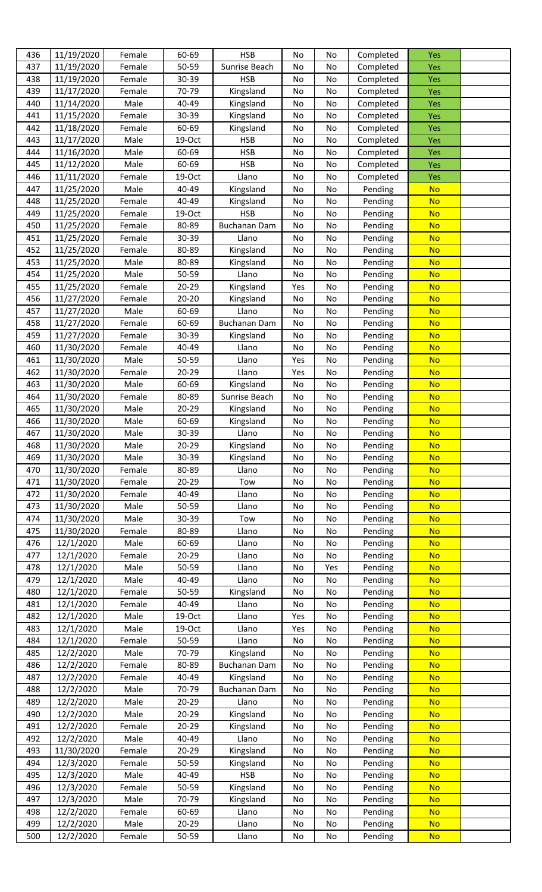| 436 | 11/19/2020 | Female | 60-69     | <b>HSB</b>          | No  | No  | Completed | <b>Yes</b> |  |
|-----|------------|--------|-----------|---------------------|-----|-----|-----------|------------|--|
| 437 | 11/19/2020 | Female | 50-59     | Sunrise Beach       | No  | No  | Completed | Yes        |  |
| 438 | 11/19/2020 | Female | 30-39     | <b>HSB</b>          | No  | No  | Completed | <b>Yes</b> |  |
| 439 | 11/17/2020 | Female | 70-79     | Kingsland           | No  | No  | Completed | <b>Yes</b> |  |
| 440 | 11/14/2020 | Male   | 40-49     | Kingsland           | No  | No  | Completed | Yes        |  |
| 441 | 11/15/2020 | Female | 30-39     | Kingsland           | No  | No  | Completed | Yes        |  |
| 442 | 11/18/2020 | Female | 60-69     | Kingsland           | No  | No  | Completed | <b>Yes</b> |  |
| 443 | 11/17/2020 | Male   | 19-Oct    | <b>HSB</b>          | No  | No  | Completed | <b>Yes</b> |  |
| 444 | 11/16/2020 | Male   | 60-69     | <b>HSB</b>          | No  | No  | Completed | Yes        |  |
| 445 | 11/12/2020 | Male   | 60-69     | <b>HSB</b>          | No  | No  | Completed | <b>Yes</b> |  |
| 446 | 11/11/2020 | Female | 19-Oct    | Llano               | No  | No  | Completed | Yes        |  |
| 447 | 11/25/2020 | Male   | 40-49     | Kingsland           | No  | No  | Pending   | <b>No</b>  |  |
| 448 | 11/25/2020 | Female | 40-49     | Kingsland           | No  | No  | Pending   | <b>No</b>  |  |
| 449 | 11/25/2020 | Female | 19-Oct    | <b>HSB</b>          | No  | No  | Pending   | <b>No</b>  |  |
| 450 | 11/25/2020 | Female | 80-89     | <b>Buchanan Dam</b> | No  | No  | Pending   | <b>No</b>  |  |
| 451 | 11/25/2020 | Female | 30-39     | Llano               | No  | No  | Pending   | <b>No</b>  |  |
| 452 | 11/25/2020 | Female | 80-89     | Kingsland           | No  | No  | Pending   | <b>No</b>  |  |
| 453 | 11/25/2020 | Male   | 80-89     | Kingsland           | No  | No  | Pending   | <b>No</b>  |  |
| 454 | 11/25/2020 | Male   | 50-59     | Llano               | No  | No  | Pending   | <b>No</b>  |  |
| 455 | 11/25/2020 | Female | $20 - 29$ | Kingsland           | Yes | No  | Pending   | <b>No</b>  |  |
| 456 | 11/27/2020 | Female | 20-20     | Kingsland           | No  | No  | Pending   | <b>No</b>  |  |
|     |            | Male   | 60-69     | Llano               |     |     |           | <b>No</b>  |  |
| 457 | 11/27/2020 |        |           |                     | No  | No  | Pending   |            |  |
| 458 | 11/27/2020 | Female | 60-69     | <b>Buchanan Dam</b> | No  | No  | Pending   | <b>No</b>  |  |
| 459 | 11/27/2020 | Female | 30-39     | Kingsland           | No  | No  | Pending   | <b>No</b>  |  |
| 460 | 11/30/2020 | Female | 40-49     | Llano               | No  | No  | Pending   | <b>No</b>  |  |
| 461 | 11/30/2020 | Male   | 50-59     | Llano               | Yes | No  | Pending   | <b>No</b>  |  |
| 462 | 11/30/2020 | Female | $20 - 29$ | Llano               | Yes | No  | Pending   | <b>No</b>  |  |
| 463 | 11/30/2020 | Male   | 60-69     | Kingsland           | No  | No  | Pending   | <b>No</b>  |  |
| 464 | 11/30/2020 | Female | 80-89     | Sunrise Beach       | No  | No  | Pending   | <b>No</b>  |  |
| 465 | 11/30/2020 | Male   | $20 - 29$ | Kingsland           | No  | No  | Pending   | <b>No</b>  |  |
| 466 | 11/30/2020 | Male   | 60-69     | Kingsland           | No  | No  | Pending   | <b>No</b>  |  |
| 467 | 11/30/2020 | Male   | 30-39     | Llano               | No  | No  | Pending   | <b>No</b>  |  |
| 468 | 11/30/2020 | Male   | $20 - 29$ | Kingsland           | No  | No  | Pending   | <b>No</b>  |  |
| 469 | 11/30/2020 | Male   | 30-39     | Kingsland           | No  | No  | Pending   | <b>No</b>  |  |
| 470 | 11/30/2020 | Female | 80-89     | Llano               | No  | No  | Pending   | <b>No</b>  |  |
| 471 | 11/30/2020 | Female | 20-29     | Tow                 | No  | No  | Pending   | <b>No</b>  |  |
| 472 | 11/30/2020 | Female | 40-49     | Llano               | No  | No  | Pending   | <b>No</b>  |  |
| 473 | 11/30/2020 | Male   | 50-59     | Llano               | No  | No  | Pending   | <b>No</b>  |  |
| 474 | 11/30/2020 | Male   | 30-39     | Tow                 | No  | No  | Pending   | <b>No</b>  |  |
| 475 | 11/30/2020 | Female | 80-89     | Llano               | No  | No  | Pending   | <b>No</b>  |  |
| 476 | 12/1/2020  | Male   | 60-69     | Llano               | No  | No  | Pending   | <b>No</b>  |  |
| 477 | 12/1/2020  | Female | $20 - 29$ | Llano               | No  | No  | Pending   | <b>No</b>  |  |
| 478 | 12/1/2020  | Male   | 50-59     | Llano               | No  | Yes | Pending   | <b>No</b>  |  |
| 479 | 12/1/2020  | Male   | 40-49     | Llano               | No  | No  | Pending   | <b>No</b>  |  |
| 480 | 12/1/2020  | Female | 50-59     | Kingsland           | No  | No  | Pending   | <b>No</b>  |  |
| 481 | 12/1/2020  | Female | 40-49     | Llano               | No  | No  | Pending   | <b>No</b>  |  |
| 482 | 12/1/2020  | Male   | 19-Oct    | Llano               | Yes | No  | Pending   | <b>No</b>  |  |
| 483 | 12/1/2020  | Male   | 19-Oct    | Llano               | Yes | No  | Pending   | <b>No</b>  |  |
| 484 | 12/1/2020  | Female | 50-59     | Llano               | No  | No  | Pending   | <b>No</b>  |  |
| 485 | 12/2/2020  | Male   | 70-79     | Kingsland           | No  | No  | Pending   | <b>No</b>  |  |
| 486 | 12/2/2020  | Female | 80-89     | <b>Buchanan Dam</b> | No  | No  | Pending   | <b>No</b>  |  |
| 487 | 12/2/2020  | Female | 40-49     | Kingsland           | No  | No  | Pending   | <b>No</b>  |  |
| 488 | 12/2/2020  | Male   | 70-79     | <b>Buchanan Dam</b> | No  | No  | Pending   | <b>No</b>  |  |
| 489 | 12/2/2020  | Male   | $20 - 29$ | Llano               | No  | No  | Pending   | <b>No</b>  |  |
| 490 | 12/2/2020  | Male   | $20 - 29$ | Kingsland           | No  | No  | Pending   | <b>No</b>  |  |
| 491 | 12/2/2020  | Female | 20-29     | Kingsland           | No  | No  | Pending   | <b>No</b>  |  |
| 492 | 12/2/2020  | Male   | 40-49     | Llano               | No  | No  | Pending   | <b>No</b>  |  |
| 493 | 11/30/2020 | Female | $20 - 29$ | Kingsland           | No  | No  | Pending   | <b>No</b>  |  |
| 494 | 12/3/2020  | Female | 50-59     | Kingsland           | No  | No  | Pending   | <b>No</b>  |  |
| 495 | 12/3/2020  | Male   | 40-49     | <b>HSB</b>          | No  | No  | Pending   | <b>No</b>  |  |
| 496 | 12/3/2020  | Female | 50-59     | Kingsland           | No  | No  | Pending   | <b>No</b>  |  |
| 497 | 12/3/2020  | Male   | 70-79     | Kingsland           | No  | No  | Pending   | <b>No</b>  |  |
| 498 | 12/2/2020  | Female | 60-69     | Llano               | No  | No  | Pending   | <b>No</b>  |  |
| 499 | 12/2/2020  | Male   | 20-29     | Llano               | No  | No  | Pending   | <b>No</b>  |  |
| 500 | 12/2/2020  | Female | 50-59     | Llano               | No  | No  | Pending   | <b>No</b>  |  |